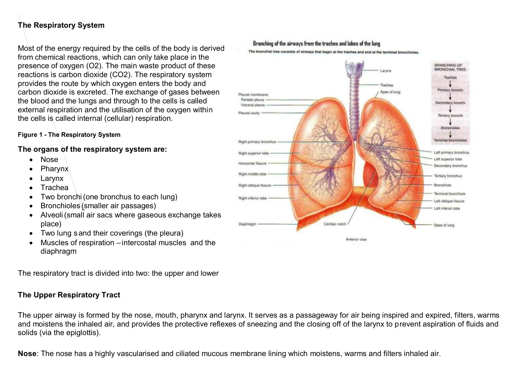# **The Respiratory System**

Most of the energy required by the cells of the body is derived from chemical reactions, which can only take place in the presence of oxygen (O2). The main waste product of these reactions is carbon dioxide (CO2). The respiratory system provides the route by which oxygen enters the body and carbon dioxide is excreted. The exchange of gases between the blood and the lungs and through to the cells is called external respiration and the utilisation of the oxygen within the cells is called internal (cellular) respiration.

#### **Figure 1 - The Respiratory System**

#### **The organs of the respiratory system are:**

- Nose
- Pharynx
- Larynx
- Trachea
- Two bronchi(one bronchus to each lung)
- Bronchioles (smaller air passages)
- Alveoli(small air sacs where gaseous exchange takes place)
- Two lung s and their coverings (the pleura)
- Muscles of respiration –intercostal muscles and the diaphragm

The respiratory tract is divided into two: the upper and lower

#### **The Upper Respiratory Tract**

#### The upper airway is formed by the nose, mouth, pharynx and larynx. It serves as a passageway for air being inspired and expired, filters, warms and moistens the inhaled air, and provides the protective reflexes of sneezing and the closing off of the larynx to prevent aspiration of fluids and solids (via the epiglottis).

**Nose**: The nose has a highly vascularised and ciliated mucous membrane lining which moistens, warms and filters inhaled air.

#### Branching of the airways from the trachea and lobes of the lung

The bronchial tree consists of airways that begin at the traches and end at the terminal bronchioles.

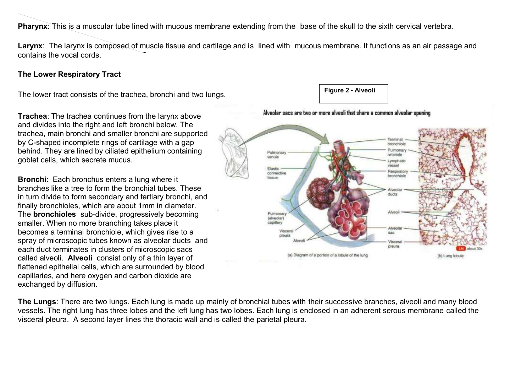**Pharynx**: This is a muscular tube lined with mucous membrane extending from the base of the skull to the sixth cervical vertebra.

**Larynx**: The larynx is composed of muscle tissue and cartilage and is lined with mucous membrane. It functions as an air passage and contains the vocal cords.

#### **The Lower Respiratory Tract**

The lower tract consists of the trachea, bronchi and two lungs.

**Trachea**: The trachea continues from the larynx above and divides into the right and left bronchi below. The trachea, main bronchi and smaller bronchi are supported by C-shaped incomplete rings of cartilage with a gap behind. They are lined by ciliated epithelium containing goblet cells, which secrete mucus.

**Bronchi**: Each bronchus enters a lung where it branches like a tree to form the bronchial tubes. These in turn divide to form secondary and tertiary bronchi, and finally bronchioles, which are about 1mm in diameter. The **bronchioles** sub-divide, progressively becoming smaller. When no more branching takes place it becomes a terminal bronchiole, which gives rise to a spray of microscopic tubes known as alveolar ducts and each duct terminates in clusters of microscopic sacs called alveoli. **Alveoli** consist only of a thin layer of flattened epithelial cells, which are surrounded by blood capillaries, and here oxygen and carbon dioxide are exchanged by diffusion.

**The Lungs**: There are two lungs. Each lung is made up mainly of bronchial tubes with their successive branches, alveoli and many blood vessels. The right lung has three lobes and the left lung has two lobes. Each lung is enclosed in an adherent serous membrane called the visceral pleura. A second layer lines the thoracic wall and is called the parietal pleura.



**Figure 2 - Alveoli**

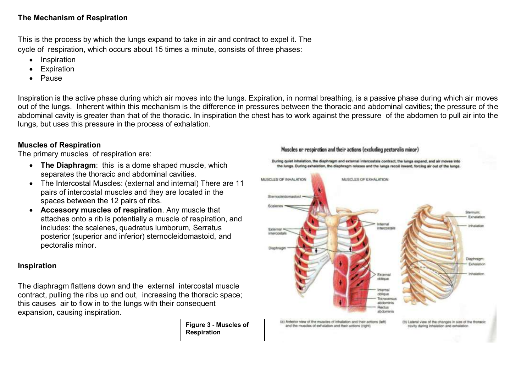## **The Mechanism of Respiration**

This is the process by which the lungs expand to take in air and contract to expel it. The cycle of respiration, which occurs about 15 times a minute, consists of three phases:

- Inspiration
- Expiration
- Pause

Inspiration is the active phase during which air moves into the lungs. Expiration, in normal breathing, is a passive phase during which air moves out of the lungs. Inherent within this mechanism is the difference in pressures between the thoracic and abdominal cavities; the pressure of the abdominal cavity is greater than that of the thoracic. In inspiration the chest has to work against the pressure of the abdomen to pull air into the lungs, but uses this pressure in the process of exhalation.

# **Muscles of Respiration**

The primary muscles of respiration are:

- **The Diaphragm**: this is a dome shaped muscle, which separates the thoracic and abdominal cavities.
- The Intercostal Muscles: (external and internal) There are 11 pairs of intercostal muscles and they are located in the spaces between the 12 pairs of ribs.
- **Accessory muscles of respiration**. Any muscle that attaches onto a rib is potentially a muscle of respiration, and includes: the scalenes, quadratus lumborum, Serratus posterior (superior and inferior) sternocleidomastoid, and pectoralis minor.

# **Inspiration**

The diaphragm flattens down and the external intercostal muscle contract, pulling the ribs up and out, increasing the thoracic space; this causes air to flow in to the lungs with their consequent expansion, causing inspiration.

> **Figure 3 - Muscles of Respiration**

#### Muscles or respiration and their actions (excluding pectoralis minor)

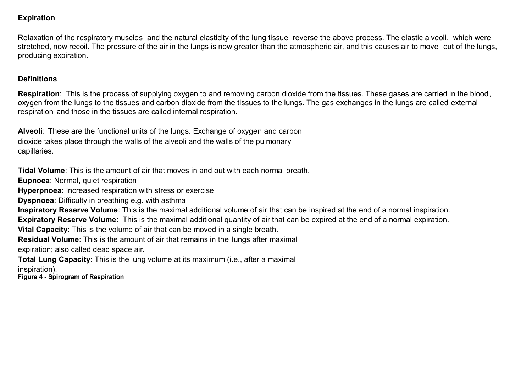## **Expiration**

Relaxation of the respiratory muscles and the natural elasticity of the lung tissue reverse the above process. The elastic alveoli, which were stretched, now recoil. The pressure of the air in the lungs is now greater than the atmospheric air, and this causes air to move out of the lungs, producing expiration.

#### **Definitions**

**Respiration**: This is the process of supplying oxygen to and removing carbon dioxide from the tissues. These gases are carried in the blood, oxygen from the lungs to the tissues and carbon dioxide from the tissues to the lungs. The gas exchanges in the lungs are called external respiration and those in the tissues are called internal respiration.

**Alveoli**: These are the functional units of the lungs. Exchange of oxygen and carbon dioxide takes place through the walls of the alveoli and the walls of the pulmonary capillaries.

**Tidal Volume**: This is the amount of air that moves in and out with each normal breath.

**Eupnoea**: Normal, quiet respiration

**Hyperpnoea**: Increased respiration with stress or exercise

**Dyspnoea**: Difficulty in breathing e.g. with asthma

**Inspiratory Reserve Volume**: This is the maximal additional volume of air that can be inspired at the end of a normal inspiration.

**Expiratory Reserve Volume**: This is the maximal additional quantity of air that can be expired at the end of a normal expiration.

**Vital Capacity**: This is the volume of air that can be moved in a single breath.

**Residual Volume**: This is the amount of air that remains in the lungs after maximal

expiration; also called dead space air.

**Total Lung Capacity**: This is the lung volume at its maximum (i.e., after a maximal

inspiration).

**Figure 4 - Spirogram of Respiration**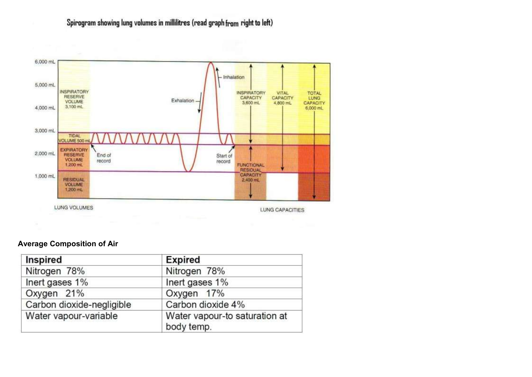# Spirogram showing lung volumes in millilitres (read graph from right to left)



#### **Average Composition of Air**

| Inspired                  | <b>Expired</b>                              |
|---------------------------|---------------------------------------------|
| Nitrogen 78%              | Nitrogen 78%                                |
| Inert gases 1%            | Inert gases 1%                              |
| Oxygen 21%                | Oxygen 17%                                  |
| Carbon dioxide-negligible | Carbon dioxide 4%                           |
| Water vapour-variable     | Water vapour-to saturation at<br>body temp. |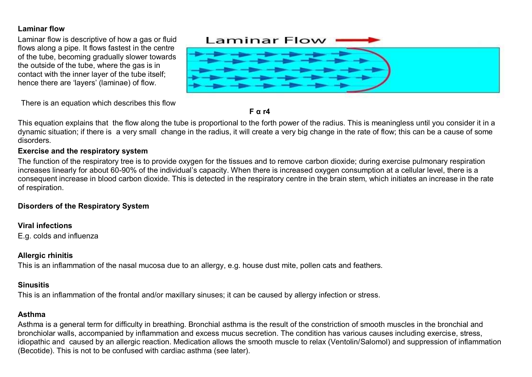# **Laminar flow**

Laminar flow is descriptive of how a gas or fluid flows along a pipe. It flows fastest in the centre of the tube, becoming gradually slower towards the outside of the tube, where the gas is in contact with the inner layer of the tube itself; hence there are 'layers' (laminae) of flow.



There is an equation which describes this flow



This equation explains that the flow along the tube is proportional to the forth power of the radius. This is meaningless until you consider it in a dynamic situation; if there is a very small change in the radius, it will create a very big change in the rate of flow; this can be a cause of some disorders.

#### **Exercise and the respiratory system**

The function of the respiratory tree is to provide oxygen for the tissues and to remove carbon dioxide; during exercise pulmonary respiration increases linearly for about 60-90% of the individual's capacity. When there is increased oxygen consumption at a cellular level, there is a consequent increase in blood carbon dioxide. This is detected in the respiratory centre in the brain stem, which initiates an increase in the rate of respiration.

# **Disorders of the Respiratory System**

# **Viral infections**

E.g. colds and influenza

# **Allergic rhinitis**

This is an inflammation of the nasal mucosa due to an allergy, e.g. house dust mite, pollen cats and feathers.

# **Sinusitis**

This is an inflammation of the frontal and/or maxillary sinuses; it can be caused by allergy infection or stress.

# **Asthma**

Asthma is a general term for difficulty in breathing. Bronchial asthma is the result of the constriction of smooth muscles in the bronchial and bronchiolar walls, accompanied by inflammation and excess mucus secretion. The condition has various causes including exercise, stress, idiopathic and caused by an allergic reaction. Medication allows the smooth muscle to relax (Ventolin/Salomol) and suppression of inflammation (Becotide). This is not to be confused with cardiac asthma (see later).